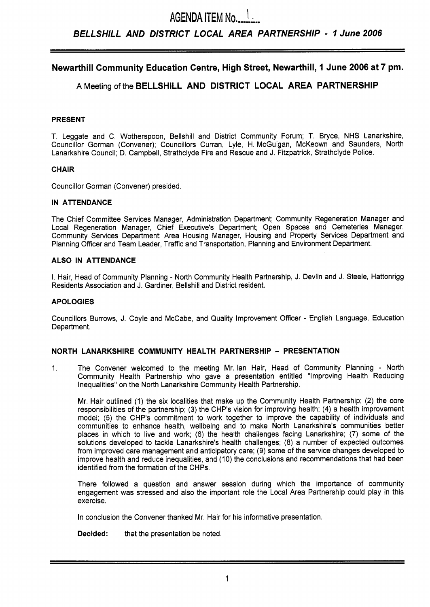# **AGENDA ITEM No........** *BELLSHILL AND DISTRICT LOCAL AREA PARTNERSHIP* - *1 June 2006*

# **Newarthill Community Education Centre, High Street, Newarthill, 1 June 2006 at 7 pm.**

# **A** Meeting of the **BELLSHILL AND DISTRICT LOCAL AREA PARTNERSHIP**

# **PRESENT**

T. Leggate and C. Wotherspoon, Bellshill and District Community Forum; T. Bryce, NHS Lanarkshire, Councillor Gorman (Convener); Councillors Curran, Lyle, H. McGuigan, McKeown and Saunders, North Lanarkshire Council; D. Campbell, Strathclyde Fire and Rescue and J. Fitzpatrick, Strathclyde Police.

# **CHAIR**

Councillor Gorman (Convener) presided.

## **IN ATENDANCE**

The Chief Committee Services Manager, Administration Department; Community Regeneration Manager and Local Regeneration Manager, Chief Executive's Department; Open Spaces and Cemeteries Manager, Community Services Department; Area Housing Manager, Housing and Property Services Department and Planning Officer and Team Leader, Traffic and Transportation, Planning and Environment Department.

## **ALSO IN ATENDANCE**

I. Hair, Head of Community Planning - North Community Health Partnership, J. Devlin and J. Steele, Hattonrigg Residents Association and J. Gardiner. Bellshill and District resident.

### **APOLOGIES**

Councillors Burrows, J. Coyle and McCabe, and Quality Improvement Officer - English Language, Education Department.

# **NORTH LANARKSHIRE COMMUNITY HEALTH PARTNERSHIP** - **PRESENTATION**

1. The Convener welcomed to the meeting Mr. lan Hair, Head of Community Planning - North Community Health Partnership who gave a presentation entitled "Improving Health Reducing Inequalities" on the North Lanarkshire Community Health Partnership.

Mr. Hair outlined (1) the six localities that make up the Community Health Partnership; (2) the core responsibilities of the partnership; (3) the CHP's vision for improving health; **(4)** a health improvement model; (5) the CHP's commitment to work together to improve the capability of individuals and communities to enhance health, wellbeing and to make North Lanarkshire's communities better places in which to live and work; (6) the health challenges facing Lanarkshire; (7) some of the solutions developed to tackle Lanarkshire's health challenges; **(8)** a number of expected outcomes from improved care management and anticipatory care; (9) some of the service changes developed to improve health and reduce inequalities, and (10) the conclusions and recommendations that had been identified from the formation of the CHPs.

There followed a question and answer session during which the importance of community engagement was stressed and also the important role the Local Area Partnership could play in this exercise.

In conclusion the Convener thanked Mr. Hair for his informative presentation.

**Decided:** that the presentation be noted.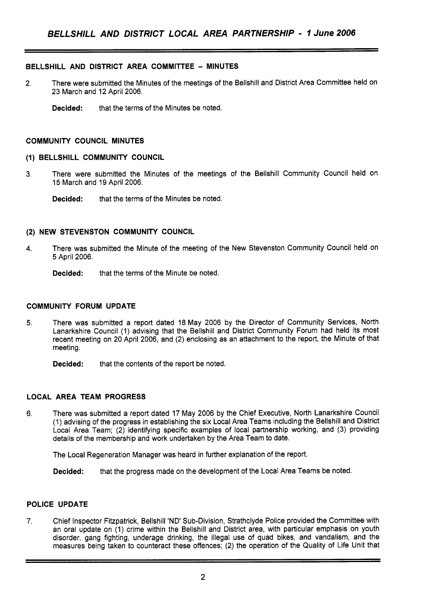# **BELLSHILL AND DISTRICT AREA COMMITTEE** - **MINUTES**

- 2. There were submitted the Minutes of the meetings of the Bellshill and District Area Committee held on 23 March and 12 April 2006.
	- **Decided:** that the terms of the Minutes be noted.

## **COMMUNITY COUNCIL MINUTES**

## **(1) BELLSHILL COMMUNITY COUNCIL**

- 3. There were submitted the Minutes of the meetings of the Bellshill Community Council held on 15 March and **19** April 2006.
	- **Decided:** that the terms of the Minutes be noted.

## **(2) NEW STEVENSTON COMMUNITY COUNCIL**

- **4.** There was submitted the Minute of the meeting of the New Stevenston Community Council held on 5 April 2006.
	- **Decided:** that the terms of the Minute be noted.

## **COMMUNITY FORUM UPDATE**

- **5.** There was submitted a report dated 18 May 2006 by the Director of Community Services, North Lanarkshire Council (1) advising that the Bellshill and District Community Forum had held its most recent meeting on 20 April 2006, and (2) enclosing as an attachment to the report, the Minute of that meeting.
	- **Decided:** that the contents of the report be noted.

# **LOCAL AREA TEAM PROGRESS**

6. There was submitted a report dated 17 May 2006 by the Chief Executive, North Lanarkshire Council (1) advising of the progress in establishing the six Local Area Teams including the Bellshill and District Local Area Team; (2) identifying specific examples of local partnership working, and (3) providing details of the membership and work undertaken by the Area Team to date.

The Local Regeneration Manager was heard in further explanation of the report.

**Decided:** that the progress made on the development of the Local Area Teams be noted.

# **POLICE UPDATE**

**7.** Chief Inspector Fitzpatrick, Bellshill 'ND' Sub-Division, Strathclyde Police provided the Committee with an oral update on (1) crime within the Bellshill and District area, with particular emphasis on youth disorder, gang fighting, underage drinking, the illegal use of quad bikes, and vandalism, and the measures being taken to counteract these offences; (2) the operation of the Quality of Life Unit that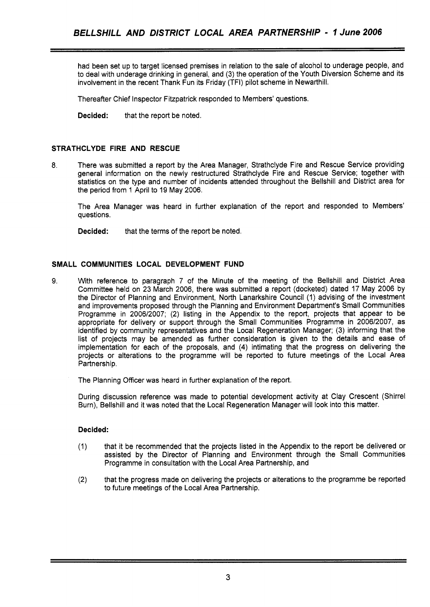had been set up to target licensed premises in relation to the sale of alcohol to underage people, and to deal with underage drinking in general, and (3) the operation of the Youth Diversion Scheme and its involvement in the recent Thank Fun its Friday (TFI) pilot scheme in Newarthill.

Thereafter Chief Inspector Fitzpatrick responded to Members' questions.

**Decided:** that the report be noted.

# **STRATHCLYDE FIRE AND RESCUE**

**8.** There was submitted a report by the Area Manager, Strathclyde Fire and Rescue Service providing general information on the newly restructured Strathclyde Fire and Rescue Service; together with statistics on the type and number of incidents attended throughout the Bellshill and District area for the period from 1 April to 19 May 2006.

The Area Manager was heard in further explanation of the report and responded to Members' questions.

**Decided:** that the terms of the report be noted.

# **SMALL COMMUNITIES LOCAL DEVELOPMENT FUND**

**9.** With reference to paragraph 7 of the Minute of the meeting of the Bellshill and District Area Committee held on 23 March 2006, there was submitted a report (docketed) dated 17 May 2006 by the Director of Planning and Environment, North Lanarkshire Council (1) advising of the investment and improvements proposed through the Planning and Environment Department's Small Communities Programme in 2006/2007; (2) listing in the Appendix to the report, projects that appear to be appropriate for delivery or support through the Small Communities Programme in 2006/2007, as identified by community representatives and the Local Regeneration Manager; (3) informing that the list of projects may be amended as further consideration is given to the details and ease of implementation for each of the proposals, and **(4)** intimating that the progress on delivering the projects or alterations to the programme will be reported to future meetings of the Local Area Partnership.

The Planning Officer was heard in further explanation of the report.

During discussion reference was made to potential development activity at Clay Crescent (Shirrel Burn), Bellshill and it was noted that the Local Regeneration Manager will look into this matter.

# **Decided:**

- (1) that it be recommended that the projects listed in the Appendix to the report be delivered or assisted by the Director of Planning and Environment through the Small Communities Programme in consultation with the Local Area Partnership, and
- that the progress made on delivering the projects or alterations to the programme be reported (2) that the progress made on delivering the projects<br>to future meetings of the Local Area Partnership.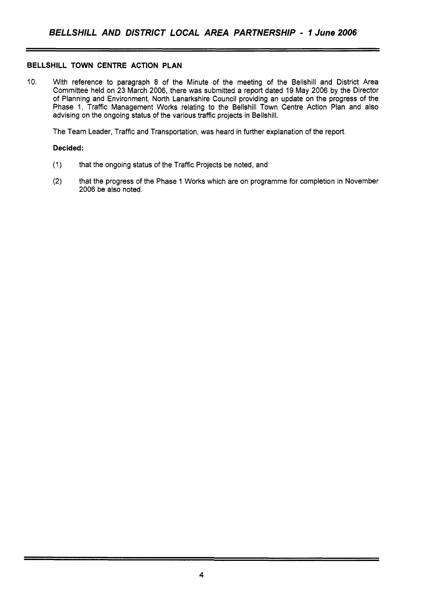# **BELLSHILL TOWN CENTRE ACTION PLAN**

10. With reference to paragraph 8 of the Minute of the meeting of the Bellshill and District Area Committee held on 23 March 2006, there was submitted a report dated 19 May 2006 by the Director of Planning and Environment, North Lanarkshire Council providing an update on the progress of the Phase 1, Traffic Management Works relating to the Bellshill Town Centre Action Plan and also advising on the ongoing status of the various traffic projects in Bellshill.

The Team Leader, Traffic and Transportation, was heard in further explanation of the report.

### **Decided:**

- (1) that the ongoing status of the Traffic Projects be noted, and
- **(2)** that the progress of the Phase 1 Works which are on programme for completion in November 2006 be also noted.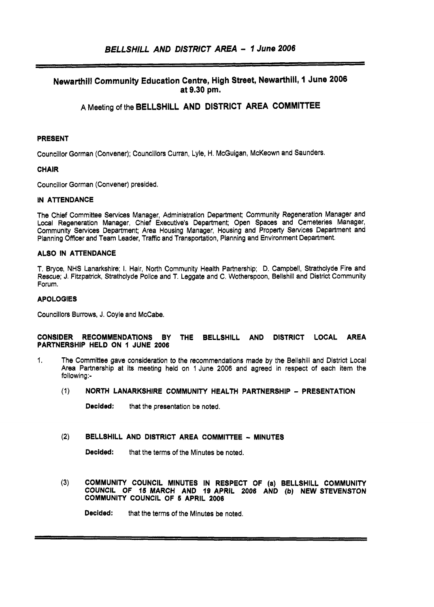# **Newarthill Community Education Centre, High Street, Newarthill, 1 June 2006 at 9.30 pm.**

**A** Meeting of the **BELLSHILL AND DISTRICT AREA COMMITTEE** 

#### **PRESENT**

Councillor Gorman (Convener); Councillors Curran, Lyle, H. McGuigan, McKeown and Saunders.

#### **CHAIR**

Councillor Gorman (Convener) presided.

#### **IN ATTENDANCE**

The Chief Committee Services Manager, Administration Department; Community Regeneration Manager and Local Regeneration Manager, Chief Executive's Department; Open Spaces and Cemeteries Manager, Community Services Department; Area Housing Manager, Housing and Property Services Department and Planning Officer and Team Leader, Traffic and Transportation, Planning and Environment Department.

#### **ALSO IN ATTENDANCE**

T. Bryce, NHS Lanarkshire; I. Hair, North Community Health Partnership; D. Campbell, Strathclyde Fire and Rescue; J. Fitzpatrick, Strathclyde Police and T. Leggate and C. Wotherspoon, Bellshill and District Community Forum.

#### **APOLOGIES**

Councillors Burrows, **J.** Coyle and McCabe.

# **CONSIDER RECOMMENDATIONS BY THE BELLSHILL AND DISTRICT LOCAL AREA PARTNERSHIP HELD ON** I **JUNE 2006 PARTNERSHIP HELD ON 1 JUNE 2006**<br>1. The Committee gave consideration to the recommendations made by the Bellshill and District Local

- Area Partnership at its meeting held on 1 June 2006 and agreed in respect of each item the following:-
	- (1) **NORTH LANARKSHIRE COMMUNITY HEALTH PARTNERSHIP PRESENTATION**

**Decided:** that the presentation be noted.

(2) BELLSHILL AND DISTRICT AREA COMMITTEE - MINUTES

**Decided:** that the terms of the Minutes be noted.

**(3) COMMUNITY COUNCIL MINUTES IN RESPECT OF (a) BELLSHILL COMMUNITY COUNCIL OF 15 MARCH AND IQ APRIL 2008 AND** *(b)* **NEW STEVENSTON COMMUNITY COUNCIL OF S APRIL 2006** 

**Decided:** that the terms of the Minutes be noted.